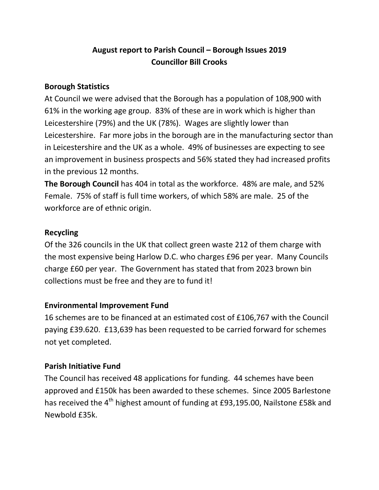# **August report to Parish Council – Borough Issues 2019 Councillor Bill Crooks**

### **Borough Statistics**

At Council we were advised that the Borough has a population of 108,900 with 61% in the working age group. 83% of these are in work which is higher than Leicestershire (79%) and the UK (78%). Wages are slightly lower than Leicestershire. Far more jobs in the borough are in the manufacturing sector than in Leicestershire and the UK as a whole. 49% of businesses are expecting to see an improvement in business prospects and 56% stated they had increased profits in the previous 12 months.

**The Borough Council** has 404 in total as the workforce. 48% are male, and 52% Female. 75% of staff is full time workers, of which 58% are male. 25 of the workforce are of ethnic origin.

### **Recycling**

Of the 326 councils in the UK that collect green waste 212 of them charge with the most expensive being Harlow D.C. who charges £96 per year. Many Councils charge £60 per year. The Government has stated that from 2023 brown bin collections must be free and they are to fund it!

## **Environmental Improvement Fund**

16 schemes are to be financed at an estimated cost of £106,767 with the Council paying £39.620. £13,639 has been requested to be carried forward for schemes not yet completed.

## **Parish Initiative Fund**

The Council has received 48 applications for funding. 44 schemes have been approved and £150k has been awarded to these schemes. Since 2005 Barlestone has received the 4<sup>th</sup> highest amount of funding at £93,195.00, Nailstone £58k and Newbold £35k.